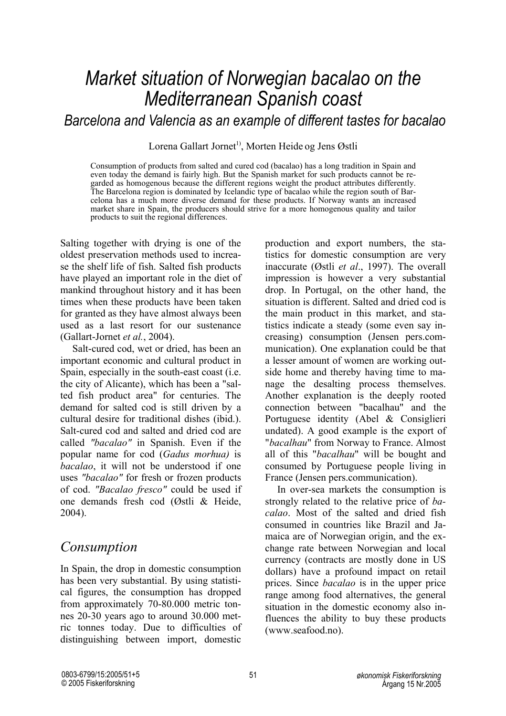# *Market situation of Norwegian bacalao on the Mediterranean Spanish coast*

 *Barcelona and Valencia as an example of different tastes for bacalao*

Lorena Gallart Jornet<sup>1)</sup>, Morten Heide og Jens Østli

Consumption of products from salted and cured cod (bacalao) has a long tradition in Spain and even today the demand is fairly high. But the Spanish market for such products cannot be regarded as homogenous because the different regions weight the product attributes differently. The Barcelona region is dominated by Icelandic type of bacalao while the region south of Barcelona has a much more diverse demand for these products. If Norway wants an increased market share in Spain, the producers should strive for a more homogenous quality and tailor products to suit the regional differences.

Salting together with drying is one of the oldest preservation methods used to increase the shelf life of fish. Salted fish products have played an important role in the diet of mankind throughout history and it has been times when these products have been taken for granted as they have almost always been used as a last resort for our sustenance (Gallart-Jornet *et al.*, 2004).

Salt-cured cod, wet or dried, has been an important economic and cultural product in Spain, especially in the south-east coast (i.e. the city of Alicante), which has been a "salted fish product area" for centuries. The demand for salted cod is still driven by a cultural desire for traditional dishes (ibid.). Salt-cured cod and salted and dried cod are called *"bacalao"* in Spanish. Even if the popular name for cod (*Gadus morhua)* is *bacalao*, it will not be understood if one uses *"bacalao"* for fresh or frozen products of cod. *"Bacalao fresco"* could be used if one demands fresh cod (Østli & Heide, 2004).

# *Consumption*

In Spain, the drop in domestic consumption has been very substantial. By using statistical figures, the consumption has dropped from approximately 70-80.000 metric tonnes 20-30 years ago to around 30.000 metric tonnes today. Due to difficulties of distinguishing between import, domestic

production and export numbers, the statistics for domestic consumption are very inaccurate (Østli *et al*., 1997). The overall impression is however a very substantial drop. In Portugal, on the other hand, the situation is different. Salted and dried cod is the main product in this market, and statistics indicate a steady (some even say increasing) consumption (Jensen pers.communication). One explanation could be that a lesser amount of women are working outside home and thereby having time to manage the desalting process themselves. Another explanation is the deeply rooted connection between "bacalhau" and the Portuguese identity (Abel & Consiglieri undated). A good example is the export of "*bacalhau*" from Norway to France. Almost all of this "*bacalhau*" will be bought and consumed by Portuguese people living in France (Jensen pers.communication).

In over-sea markets the consumption is strongly related to the relative price of *bacalao*. Most of the salted and dried fish consumed in countries like Brazil and Jamaica are of Norwegian origin, and the exchange rate between Norwegian and local currency (contracts are mostly done in US dollars) have a profound impact on retail prices. Since *bacalao* is in the upper price range among food alternatives, the general situation in the domestic economy also influences the ability to buy these products (www.seafood.no).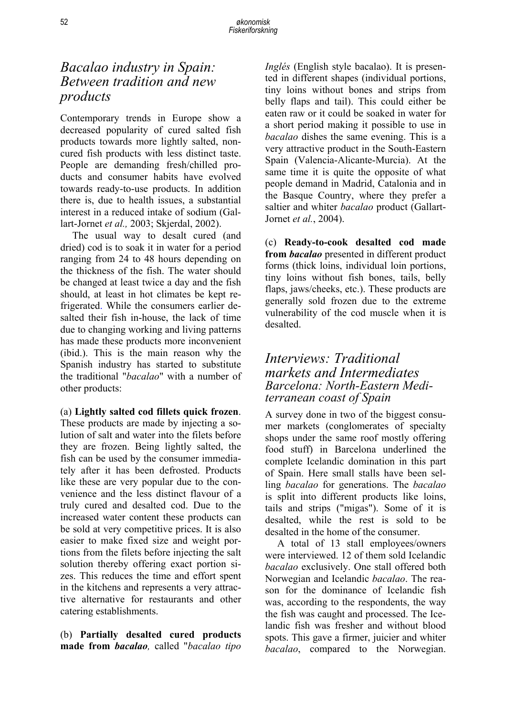# *Bacalao industry in Spain: Between tradition and new products*

Contemporary trends in Europe show a decreased popularity of cured salted fish products towards more lightly salted, noncured fish products with less distinct taste. People are demanding fresh/chilled products and consumer habits have evolved towards ready-to-use products. In addition there is, due to health issues, a substantial interest in a reduced intake of sodium (Gallart-Jornet *et al.,* 2003; Skjerdal, 2002).

The usual way to desalt cured (and dried) cod is to soak it in water for a period ranging from 24 to 48 hours depending on the thickness of the fish. The water should be changed at least twice a day and the fish should, at least in hot climates be kept refrigerated. While the consumers earlier desalted their fish in-house, the lack of time due to changing working and living patterns has made these products more inconvenient (ibid.). This is the main reason why the Spanish industry has started to substitute the traditional "*bacalao*" with a number of other products:

#### (a) **Lightly salted cod fillets quick frozen**.

These products are made by injecting a solution of salt and water into the filets before they are frozen. Being lightly salted, the fish can be used by the consumer immediately after it has been defrosted. Products like these are very popular due to the convenience and the less distinct flavour of a truly cured and desalted cod. Due to the increased water content these products can be sold at very competitive prices. It is also easier to make fixed size and weight portions from the filets before injecting the salt solution thereby offering exact portion sizes. This reduces the time and effort spent in the kitchens and represents a very attractive alternative for restaurants and other catering establishments.

(b) **Partially desalted cured products made from** *bacalao,* called "*bacalao tipo*  *Inglés* (English style bacalao). It is presented in different shapes (individual portions, tiny loins without bones and strips from belly flaps and tail). This could either be eaten raw or it could be soaked in water for a short period making it possible to use in *bacalao* dishes the same evening. This is a very attractive product in the South-Eastern Spain (Valencia-Alicante-Murcia). At the same time it is quite the opposite of what people demand in Madrid, Catalonia and in the Basque Country, where they prefer a saltier and whiter *bacalao* product (Gallart-Jornet *et al.*, 2004).

(c) **Ready-to-cook desalted cod made from** *bacalao* presented in different product forms (thick loins, individual loin portions, tiny loins without fish bones, tails, belly flaps, jaws/cheeks, etc.). These products are generally sold frozen due to the extreme vulnerability of the cod muscle when it is desalted.

#### *Interviews: Traditional markets and Intermediates Barcelona: North-Eastern Mediterranean coast of Spain*

A survey done in two of the biggest consumer markets (conglomerates of specialty shops under the same roof mostly offering food stuff) in Barcelona underlined the complete Icelandic domination in this part of Spain. Here small stalls have been selling *bacalao* for generations. The *bacalao* is split into different products like loins, tails and strips ("migas"). Some of it is desalted, while the rest is sold to be desalted in the home of the consumer.

A total of 13 stall employees/owners were interviewed. 12 of them sold Icelandic *bacalao* exclusively. One stall offered both Norwegian and Icelandic *bacalao*. The reason for the dominance of Icelandic fish was, according to the respondents, the way the fish was caught and processed. The Icelandic fish was fresher and without blood spots. This gave a firmer, juicier and whiter *bacalao*, compared to the Norwegian.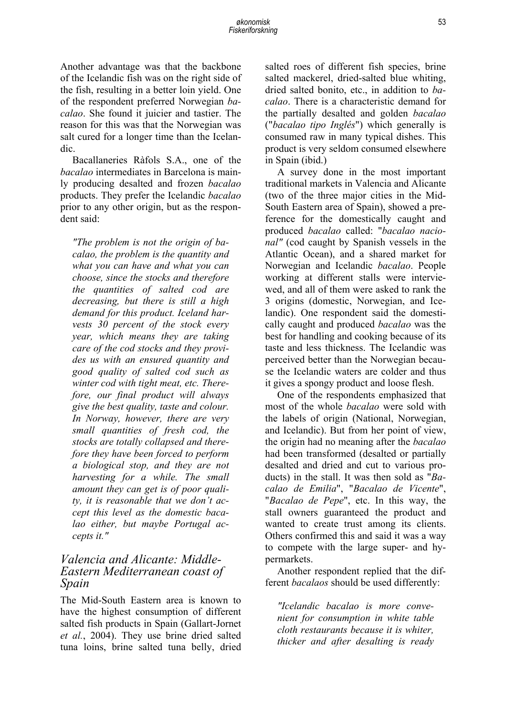Another advantage was that the backbone of the Icelandic fish was on the right side of the fish, resulting in a better loin yield. One of the respondent preferred Norwegian *bacalao*. She found it juicier and tastier. The reason for this was that the Norwegian was salt cured for a longer time than the Icelandic.

Bacallaneries Ràfols S.A., one of the *bacalao* intermediates in Barcelona is mainly producing desalted and frozen *bacalao* products. They prefer the Icelandic *bacalao* prior to any other origin, but as the respondent said:

*"The problem is not the origin of bacalao, the problem is the quantity and what you can have and what you can choose, since the stocks and therefore the quantities of salted cod are decreasing, but there is still a high demand for this product. Iceland harvests 30 percent of the stock every year, which means they are taking care of the cod stocks and they provides us with an ensured quantity and good quality of salted cod such as winter cod with tight meat, etc. Therefore, our final product will always give the best quality, taste and colour. In Norway, however, there are very small quantities of fresh cod, the stocks are totally collapsed and therefore they have been forced to perform a biological stop, and they are not harvesting for a while. The small amount they can get is of poor quality, it is reasonable that we don't accept this level as the domestic bacalao either, but maybe Portugal accepts it."* 

#### *Valencia and Alicante: Middle-Eastern Mediterranean coast of Spain*

The Mid-South Eastern area is known to have the highest consumption of different salted fish products in Spain (Gallart-Jornet *et al.*, 2004). They use brine dried salted tuna loins, brine salted tuna belly, dried salted roes of different fish species, brine salted mackerel, dried-salted blue whiting, dried salted bonito, etc., in addition to *bacalao*. There is a characteristic demand for the partially desalted and golden *bacalao* ("*bacalao tipo Inglés*") which generally is consumed raw in many typical dishes. This product is very seldom consumed elsewhere in Spain (ibid.)

A survey done in the most important traditional markets in Valencia and Alicante (two of the three major cities in the Mid-South Eastern area of Spain), showed a preference for the domestically caught and produced *bacalao* called: "*bacalao nacional"* (cod caught by Spanish vessels in the Atlantic Ocean), and a shared market for Norwegian and Icelandic *bacalao*. People working at different stalls were interviewed, and all of them were asked to rank the 3 origins (domestic, Norwegian, and Icelandic). One respondent said the domestically caught and produced *bacalao* was the best for handling and cooking because of its taste and less thickness. The Icelandic was perceived better than the Norwegian because the Icelandic waters are colder and thus it gives a spongy product and loose flesh.

One of the respondents emphasized that most of the whole *bacalao* were sold with the labels of origin (National, Norwegian, and Icelandic). But from her point of view, the origin had no meaning after the *bacalao* had been transformed (desalted or partially desalted and dried and cut to various products) in the stall. It was then sold as "*Bacalao de Emilia*", "*Bacalao de Vicente*", "*Bacalao de Pepe*", etc. In this way, the stall owners guaranteed the product and wanted to create trust among its clients. Others confirmed this and said it was a way to compete with the large super- and hypermarkets.

Another respondent replied that the different *bacalaos* should be used differently:

*"Icelandic bacalao is more convenient for consumption in white table cloth restaurants because it is whiter, thicker and after desalting is ready*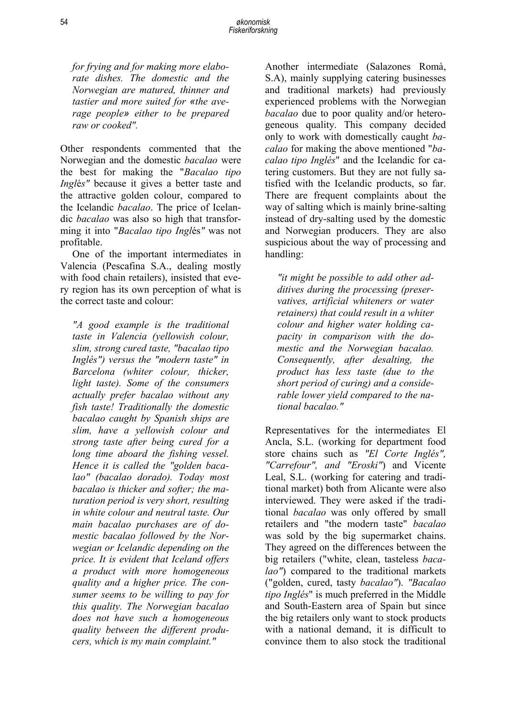*for frying and for making more elaborate dishes. The domestic and the Norwegian are matured, thinner and tastier and more suited for «the average people» either to be prepared raw or cooked".* 

Other respondents commented that the Norwegian and the domestic *bacalao* were the best for making the "*Bacalao tipo Ingl*é*s"* because it gives a better taste and the attractive golden colour, compared to the Icelandic *bacalao*. The price of Icelandic *bacalao* was also so high that transforming it into "*Bacalao tipo Ingl*és*"* was not profitable.

One of the important intermediates in Valencia (Pescafina S.A., dealing mostly with food chain retailers), insisted that every region has its own perception of what is the correct taste and colour:

*"A good example is the traditional taste in Valencia (yellowish colour, slim, strong cured taste, "bacalao tipo Inglés") versus the "modern taste" in Barcelona (whiter colour, thicker, light taste). Some of the consumers actually prefer bacalao without any fish taste! Traditionally the domestic bacalao caught by Spanish ships are slim, have a yellowish colour and strong taste after being cured for a long time aboard the fishing vessel. Hence it is called the "golden bacalao" (bacalao dorado). Today most bacalao is thicker and softer; the maturation period is very short, resulting in white colour and neutral taste. Our main bacalao purchases are of domestic bacalao followed by the Norwegian or Icelandic depending on the price. It is evident that Iceland offers a product with more homogeneous quality and a higher price. The consumer seems to be willing to pay for this quality. The Norwegian bacalao does not have such a homogeneous quality between the different producers, which is my main complaint."*

Another intermediate (Salazones Romà, S.A), mainly supplying catering businesses and traditional markets) had previously experienced problems with the Norwegian *bacalao* due to poor quality and/or heterogeneous quality. This company decided only to work with domestically caught *bacalao* for making the above mentioned "*bacalao tipo Inglés*" and the Icelandic for catering customers. But they are not fully satisfied with the Icelandic products, so far. There are frequent complaints about the way of salting which is mainly brine-salting instead of dry-salting used by the domestic and Norwegian producers. They are also suspicious about the way of processing and handling:

*"it might be possible to add other additives during the processing (preservatives, artificial whiteners or water retainers) that could result in a whiter colour and higher water holding capacity in comparison with the domestic and the Norwegian bacalao. Consequently, after desalting, the product has less taste (due to the short period of curing) and a considerable lower yield compared to the national bacalao."* 

Representatives for the intermediates El Ancla, S.L. (working for department food store chains such as *"El Corte Inglés", "Carrefour", and "Eroski"*) and Vicente Leal, S.L. (working for catering and traditional market) both from Alicante were also interviewed. They were asked if the traditional *bacalao* was only offered by small retailers and "the modern taste" *bacalao* was sold by the big supermarket chains. They agreed on the differences between the big retailers ("white, clean, tasteless *bacalao"*) compared to the traditional markets ("golden, cured, tasty *bacalao"*). *"Bacalao tipo Inglés*" is much preferred in the Middle and South-Eastern area of Spain but since the big retailers only want to stock products with a national demand, it is difficult to convince them to also stock the traditional